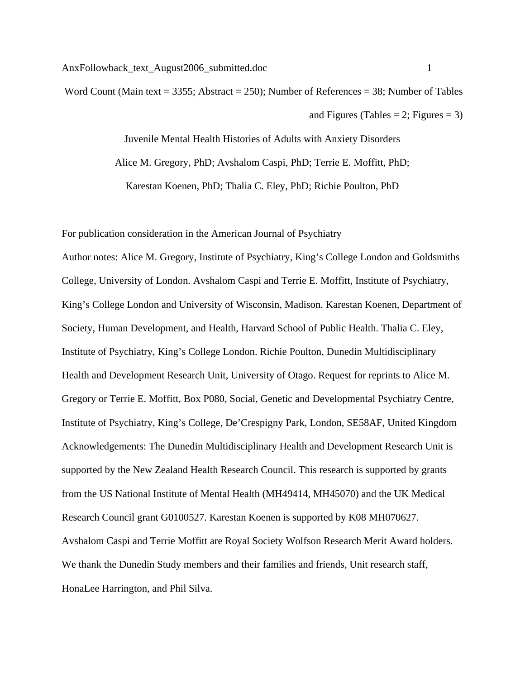Word Count (Main text = 3355; Abstract = 250); Number of References = 38; Number of Tables and Figures (Tables  $= 2$ ; Figures  $= 3$ )

> Juvenile Mental Health Histories of Adults with Anxiety Disorders Alice M. Gregory, PhD; Avshalom Caspi, PhD; Terrie E. Moffitt, PhD; Karestan Koenen, PhD; Thalia C. Eley, PhD; Richie Poulton, PhD

For publication consideration in the American Journal of Psychiatry

Author notes: Alice M. Gregory, Institute of Psychiatry, King's College London and Goldsmiths College, University of London. Avshalom Caspi and Terrie E. Moffitt, Institute of Psychiatry, King's College London and University of Wisconsin, Madison. Karestan Koenen, Department of Society, Human Development, and Health, Harvard School of Public Health. Thalia C. Eley, Institute of Psychiatry, King's College London. Richie Poulton, Dunedin Multidisciplinary Health and Development Research Unit, University of Otago. Request for reprints to Alice M. Gregory or Terrie E. Moffitt, Box P080, Social, Genetic and Developmental Psychiatry Centre, Institute of Psychiatry, King's College, De'Crespigny Park, London, SE58AF, United Kingdom Acknowledgements: The Dunedin Multidisciplinary Health and Development Research Unit is supported by the New Zealand Health Research Council. This research is supported by grants from the US National Institute of Mental Health (MH49414, MH45070) and the UK Medical Research Council grant G0100527. Karestan Koenen is supported by K08 MH070627. Avshalom Caspi and Terrie Moffitt are Royal Society Wolfson Research Merit Award holders. We thank the Dunedin Study members and their families and friends, Unit research staff, HonaLee Harrington, and Phil Silva.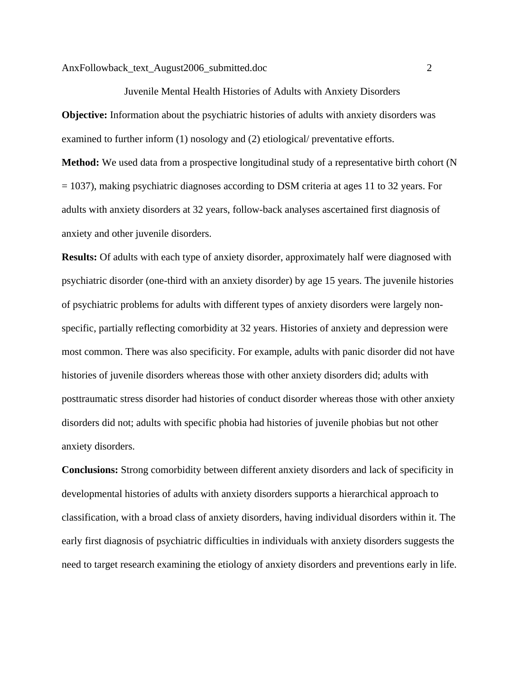Juvenile Mental Health Histories of Adults with Anxiety Disorders **Objective:** Information about the psychiatric histories of adults with anxiety disorders was examined to further inform (1) nosology and (2) etiological/ preventative efforts. **Method:** We used data from a prospective longitudinal study of a representative birth cohort (N = 1037), making psychiatric diagnoses according to DSM criteria at ages 11 to 32 years. For adults with anxiety disorders at 32 years, follow-back analyses ascertained first diagnosis of anxiety and other juvenile disorders.

**Results:** Of adults with each type of anxiety disorder, approximately half were diagnosed with psychiatric disorder (one-third with an anxiety disorder) by age 15 years. The juvenile histories of psychiatric problems for adults with different types of anxiety disorders were largely nonspecific, partially reflecting comorbidity at 32 years. Histories of anxiety and depression were most common. There was also specificity. For example, adults with panic disorder did not have histories of juvenile disorders whereas those with other anxiety disorders did; adults with posttraumatic stress disorder had histories of conduct disorder whereas those with other anxiety disorders did not; adults with specific phobia had histories of juvenile phobias but not other anxiety disorders.

**Conclusions:** Strong comorbidity between different anxiety disorders and lack of specificity in developmental histories of adults with anxiety disorders supports a hierarchical approach to classification, with a broad class of anxiety disorders, having individual disorders within it. The early first diagnosis of psychiatric difficulties in individuals with anxiety disorders suggests the need to target research examining the etiology of anxiety disorders and preventions early in life.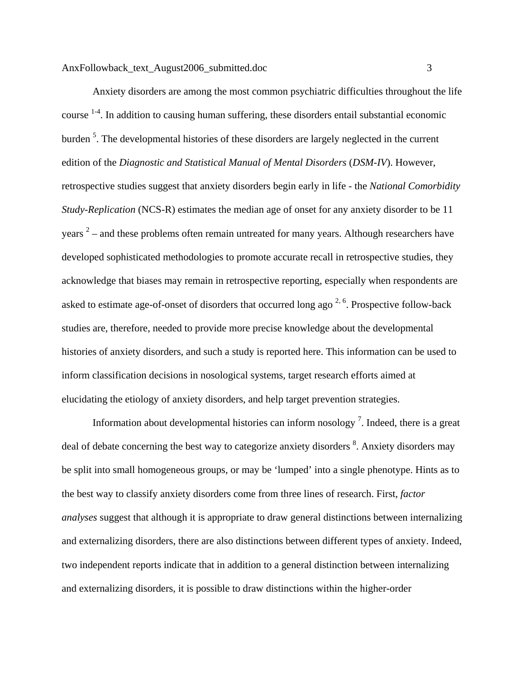Anxiety disorders are among the most common psychiatric difficulties throughout the life course  $1-4$ . In addition to causing human suffering, these disorders entail substantial economic burden<sup>5</sup>. The developmental histories of these disorders are largely neglected in the current edition of the *Diagnostic and Statistical Manual of Mental Disorders* (*DSM-IV*). However, retrospective studies suggest that anxiety disorders begin early in life - the *National Comorbidity Study-Replication* (NCS-R) estimates the median age of onset for any anxiety disorder to be 11 years  $2$  – and these problems often remain untreated for many years. Although researchers have developed sophisticated methodologies to promote accurate recall in retrospective studies, they acknowledge that biases may remain in retrospective reporting, especially when respondents are asked to estimate age-of-onset of disorders that occurred long ago  $2, 6$ . Prospective follow-back studies are, therefore, needed to provide more precise knowledge about the developmental histories of anxiety disorders, and such a study is reported here. This information can be used to inform classification decisions in nosological systems, target research efforts aimed at elucidating the etiology of anxiety disorders, and help target prevention strategies.

Information about developmental histories can inform nosology<sup>7</sup>. Indeed, there is a great deal of debate concerning the best way to categorize anxiety disorders <sup>8</sup>. Anxiety disorders may be split into small homogeneous groups, or may be 'lumped' into a single phenotype. Hints as to the best way to classify anxiety disorders come from three lines of research. First, *factor analyses* suggest that although it is appropriate to draw general distinctions between internalizing and externalizing disorders, there are also distinctions between different types of anxiety. Indeed, two independent reports indicate that in addition to a general distinction between internalizing and externalizing disorders, it is possible to draw distinctions within the higher-order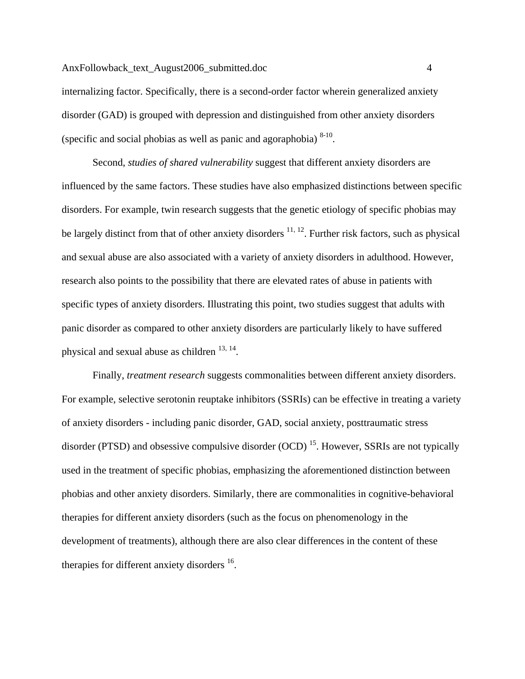internalizing factor. Specifically, there is a second-order factor wherein generalized anxiety disorder (GAD) is grouped with depression and distinguished from other anxiety disorders (specific and social phobias as well as panic and agoraphobia)  $8-10$ .

Second, *studies of shared vulnerability* suggest that different anxiety disorders are influenced by the same factors. These studies have also emphasized distinctions between specific disorders. For example, twin research suggests that the genetic etiology of specific phobias may be largely distinct from that of other anxiety disorders  $11, 12$ . Further risk factors, such as physical and sexual abuse are also associated with a variety of anxiety disorders in adulthood. However, research also points to the possibility that there are elevated rates of abuse in patients with specific types of anxiety disorders. Illustrating this point, two studies suggest that adults with panic disorder as compared to other anxiety disorders are particularly likely to have suffered physical and sexual abuse as children  $13, 14$ .

Finally, *treatment research* suggests commonalities between different anxiety disorders. For example, selective serotonin reuptake inhibitors (SSRIs) can be effective in treating a variety of anxiety disorders - including panic disorder, GAD, social anxiety, posttraumatic stress disorder (PTSD) and obsessive compulsive disorder (OCD)<sup>15</sup>. However, SSRIs are not typically used in the treatment of specific phobias, emphasizing the aforementioned distinction between phobias and other anxiety disorders. Similarly, there are commonalities in cognitive-behavioral therapies for different anxiety disorders (such as the focus on phenomenology in the development of treatments), although there are also clear differences in the content of these therapies for different anxiety disorders <sup>16</sup>.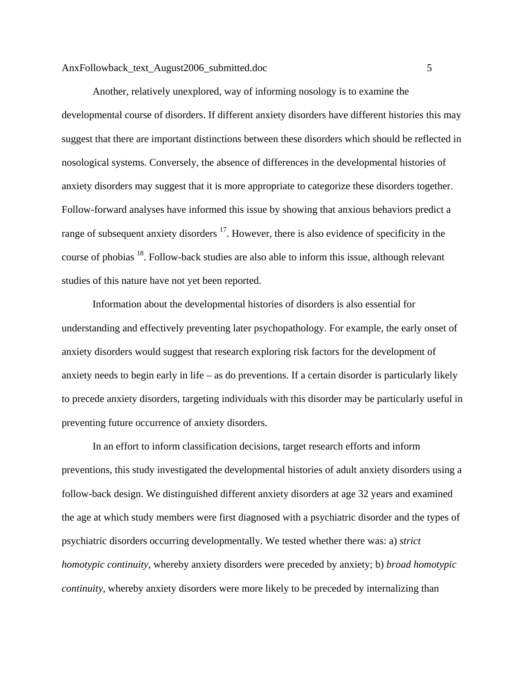Another, relatively unexplored, way of informing nosology is to examine the developmental course of disorders. If different anxiety disorders have different histories this may suggest that there are important distinctions between these disorders which should be reflected in nosological systems. Conversely, the absence of differences in the developmental histories of anxiety disorders may suggest that it is more appropriate to categorize these disorders together. Follow-forward analyses have informed this issue by showing that anxious behaviors predict a range of subsequent anxiety disorders  $17$ . However, there is also evidence of specificity in the course of phobias 18. Follow-back studies are also able to inform this issue, although relevant studies of this nature have not yet been reported.

Information about the developmental histories of disorders is also essential for understanding and effectively preventing later psychopathology. For example, the early onset of anxiety disorders would suggest that research exploring risk factors for the development of anxiety needs to begin early in life – as do preventions. If a certain disorder is particularly likely to precede anxiety disorders, targeting individuals with this disorder may be particularly useful in preventing future occurrence of anxiety disorders.

In an effort to inform classification decisions, target research efforts and inform preventions, this study investigated the developmental histories of adult anxiety disorders using a follow-back design. We distinguished different anxiety disorders at age 32 years and examined the age at which study members were first diagnosed with a psychiatric disorder and the types of psychiatric disorders occurring developmentally. We tested whether there was: a) *strict homotypic continuity*, whereby anxiety disorders were preceded by anxiety; b) *broad homotypic continuity*, whereby anxiety disorders were more likely to be preceded by internalizing than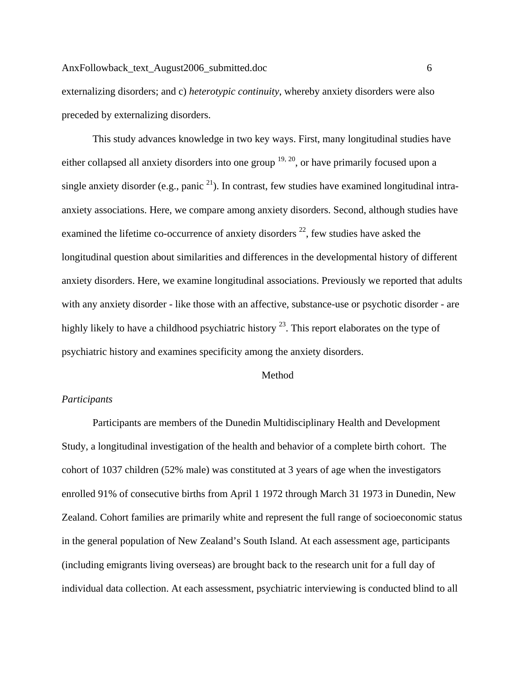externalizing disorders; and c) *heterotypic continuity*, whereby anxiety disorders were also preceded by externalizing disorders.

This study advances knowledge in two key ways. First, many longitudinal studies have either collapsed all anxiety disorders into one group  $19, 20$ , or have primarily focused upon a single anxiety disorder (e.g., panic  $^{21}$ ). In contrast, few studies have examined longitudinal intraanxiety associations. Here, we compare among anxiety disorders. Second, although studies have examined the lifetime co-occurrence of anxiety disorders  $^{22}$ , few studies have asked the longitudinal question about similarities and differences in the developmental history of different anxiety disorders. Here, we examine longitudinal associations. Previously we reported that adults with any anxiety disorder - like those with an affective, substance-use or psychotic disorder - are highly likely to have a childhood psychiatric history  $^{23}$ . This report elaborates on the type of psychiatric history and examines specificity among the anxiety disorders.

#### Method

# *Participants*

Participants are members of the Dunedin Multidisciplinary Health and Development Study, a longitudinal investigation of the health and behavior of a complete birth cohort. The cohort of 1037 children (52% male) was constituted at 3 years of age when the investigators enrolled 91% of consecutive births from April 1 1972 through March 31 1973 in Dunedin, New Zealand. Cohort families are primarily white and represent the full range of socioeconomic status in the general population of New Zealand's South Island. At each assessment age, participants (including emigrants living overseas) are brought back to the research unit for a full day of individual data collection. At each assessment, psychiatric interviewing is conducted blind to all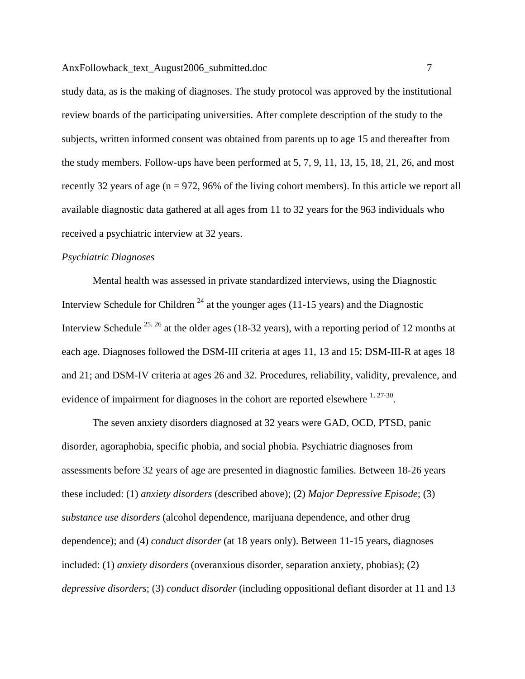study data, as is the making of diagnoses. The study protocol was approved by the institutional review boards of the participating universities. After complete description of the study to the subjects, written informed consent was obtained from parents up to age 15 and thereafter from the study members. Follow-ups have been performed at 5, 7, 9, 11, 13, 15, 18, 21, 26, and most recently 32 years of age ( $n = 972$ , 96% of the living cohort members). In this article we report all available diagnostic data gathered at all ages from 11 to 32 years for the 963 individuals who received a psychiatric interview at 32 years.

#### *Psychiatric Diagnoses*

Mental health was assessed in private standardized interviews, using the Diagnostic Interview Schedule for Children  $^{24}$  at the younger ages (11-15 years) and the Diagnostic Interview Schedule  $^{25, 26}$  at the older ages (18-32 years), with a reporting period of 12 months at each age. Diagnoses followed the DSM-III criteria at ages 11, 13 and 15; DSM-III-R at ages 18 and 21; and DSM-IV criteria at ages 26 and 32. Procedures, reliability, validity, prevalence, and evidence of impairment for diagnoses in the cohort are reported elsewhere  $1, 27-30$ .

The seven anxiety disorders diagnosed at 32 years were GAD, OCD, PTSD, panic disorder, agoraphobia, specific phobia, and social phobia. Psychiatric diagnoses from assessments before 32 years of age are presented in diagnostic families. Between 18-26 years these included: (1) *anxiety disorders* (described above); (2) *Major Depressive Episode*; (3) *substance use disorders* (alcohol dependence, marijuana dependence, and other drug dependence); and (4) *conduct disorder* (at 18 years only). Between 11-15 years, diagnoses included: (1) *anxiety disorders* (overanxious disorder, separation anxiety, phobias); (2) *depressive disorders*; (3) *conduct disorder* (including oppositional defiant disorder at 11 and 13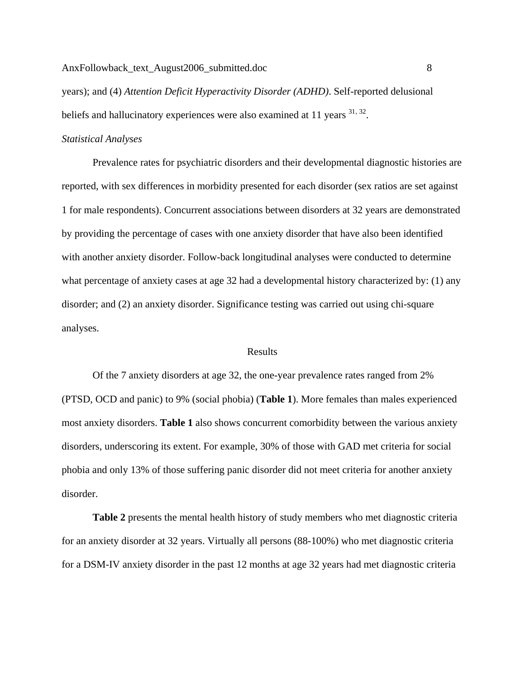years); and (4) *Attention Deficit Hyperactivity Disorder (ADHD)*. Self-reported delusional beliefs and hallucinatory experiences were also examined at 11 years  $31, 32$ .

### *Statistical Analyses*

Prevalence rates for psychiatric disorders and their developmental diagnostic histories are reported, with sex differences in morbidity presented for each disorder (sex ratios are set against 1 for male respondents). Concurrent associations between disorders at 32 years are demonstrated by providing the percentage of cases with one anxiety disorder that have also been identified with another anxiety disorder. Follow-back longitudinal analyses were conducted to determine what percentage of anxiety cases at age 32 had a developmental history characterized by: (1) any disorder; and (2) an anxiety disorder. Significance testing was carried out using chi-square analyses.

# **Results**

Of the 7 anxiety disorders at age 32, the one-year prevalence rates ranged from 2% (PTSD, OCD and panic) to 9% (social phobia) (**Table 1**). More females than males experienced most anxiety disorders. **Table 1** also shows concurrent comorbidity between the various anxiety disorders, underscoring its extent. For example, 30% of those with GAD met criteria for social phobia and only 13% of those suffering panic disorder did not meet criteria for another anxiety disorder.

**Table 2** presents the mental health history of study members who met diagnostic criteria for an anxiety disorder at 32 years. Virtually all persons (88-100%) who met diagnostic criteria for a DSM-IV anxiety disorder in the past 12 months at age 32 years had met diagnostic criteria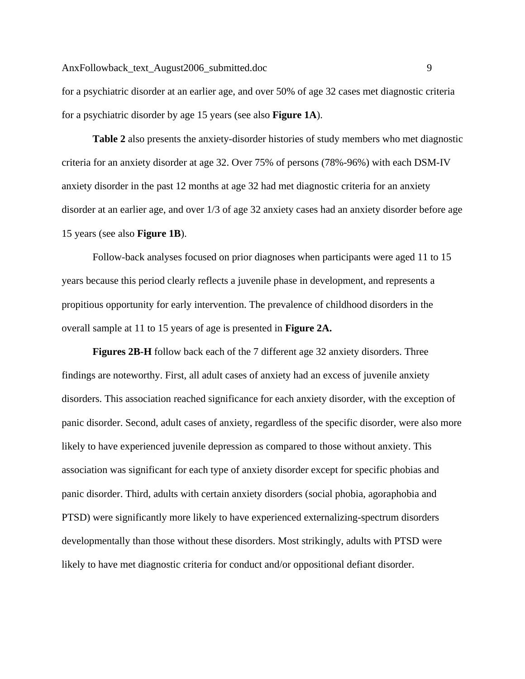for a psychiatric disorder at an earlier age, and over 50% of age 32 cases met diagnostic criteria for a psychiatric disorder by age 15 years (see also **Figure 1A**).

**Table 2** also presents the anxiety-disorder histories of study members who met diagnostic criteria for an anxiety disorder at age 32. Over 75% of persons (78%-96%) with each DSM-IV anxiety disorder in the past 12 months at age 32 had met diagnostic criteria for an anxiety disorder at an earlier age, and over 1/3 of age 32 anxiety cases had an anxiety disorder before age 15 years (see also **Figure 1B**).

Follow-back analyses focused on prior diagnoses when participants were aged 11 to 15 years because this period clearly reflects a juvenile phase in development, and represents a propitious opportunity for early intervention. The prevalence of childhood disorders in the overall sample at 11 to 15 years of age is presented in **Figure 2A.** 

**Figures 2B-H** follow back each of the 7 different age 32 anxiety disorders. Three findings are noteworthy. First, all adult cases of anxiety had an excess of juvenile anxiety disorders. This association reached significance for each anxiety disorder, with the exception of panic disorder. Second, adult cases of anxiety, regardless of the specific disorder, were also more likely to have experienced juvenile depression as compared to those without anxiety. This association was significant for each type of anxiety disorder except for specific phobias and panic disorder. Third, adults with certain anxiety disorders (social phobia, agoraphobia and PTSD) were significantly more likely to have experienced externalizing-spectrum disorders developmentally than those without these disorders. Most strikingly, adults with PTSD were likely to have met diagnostic criteria for conduct and/or oppositional defiant disorder.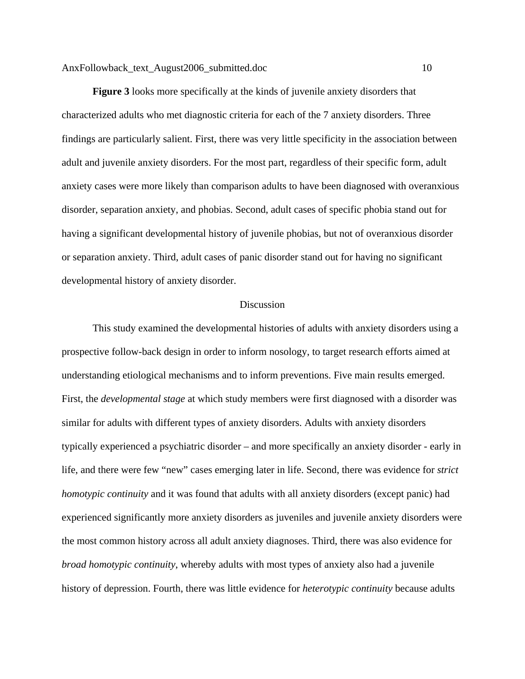**Figure 3** looks more specifically at the kinds of juvenile anxiety disorders that characterized adults who met diagnostic criteria for each of the 7 anxiety disorders. Three findings are particularly salient. First, there was very little specificity in the association between adult and juvenile anxiety disorders. For the most part, regardless of their specific form, adult anxiety cases were more likely than comparison adults to have been diagnosed with overanxious disorder, separation anxiety, and phobias. Second, adult cases of specific phobia stand out for having a significant developmental history of juvenile phobias, but not of overanxious disorder or separation anxiety. Third, adult cases of panic disorder stand out for having no significant developmental history of anxiety disorder.

#### Discussion

 This study examined the developmental histories of adults with anxiety disorders using a prospective follow-back design in order to inform nosology, to target research efforts aimed at understanding etiological mechanisms and to inform preventions. Five main results emerged. First, the *developmental stage* at which study members were first diagnosed with a disorder was similar for adults with different types of anxiety disorders. Adults with anxiety disorders typically experienced a psychiatric disorder – and more specifically an anxiety disorder - early in life, and there were few "new" cases emerging later in life. Second, there was evidence for *strict homotypic continuity* and it was found that adults with all anxiety disorders (except panic) had experienced significantly more anxiety disorders as juveniles and juvenile anxiety disorders were the most common history across all adult anxiety diagnoses. Third, there was also evidence for *broad homotypic continuity*, whereby adults with most types of anxiety also had a juvenile history of depression. Fourth, there was little evidence for *heterotypic continuity* because adults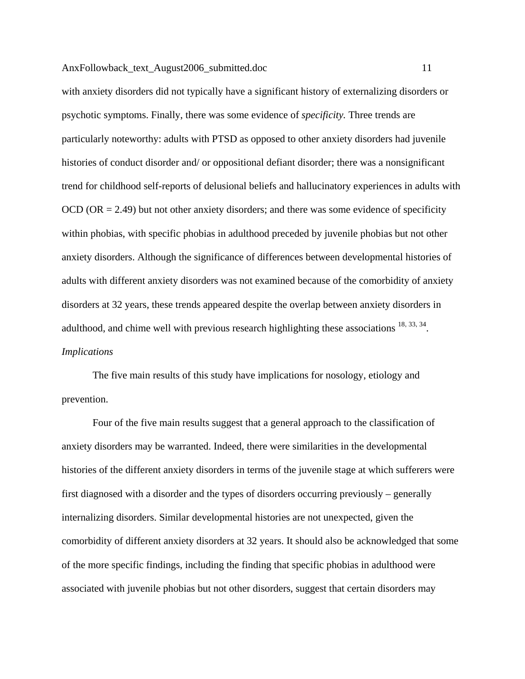with anxiety disorders did not typically have a significant history of externalizing disorders or psychotic symptoms. Finally, there was some evidence of *specificity.* Three trends are particularly noteworthy: adults with PTSD as opposed to other anxiety disorders had juvenile histories of conduct disorder and/ or oppositional defiant disorder; there was a nonsignificant trend for childhood self-reports of delusional beliefs and hallucinatory experiences in adults with OCD ( $OR = 2.49$ ) but not other anxiety disorders; and there was some evidence of specificity within phobias, with specific phobias in adulthood preceded by juvenile phobias but not other anxiety disorders. Although the significance of differences between developmental histories of adults with different anxiety disorders was not examined because of the comorbidity of anxiety disorders at 32 years, these trends appeared despite the overlap between anxiety disorders in adulthood, and chime well with previous research highlighting these associations  $^{18, 33, 34}$ . *Implications* 

 The five main results of this study have implications for nosology, etiology and prevention.

 Four of the five main results suggest that a general approach to the classification of anxiety disorders may be warranted. Indeed, there were similarities in the developmental histories of the different anxiety disorders in terms of the juvenile stage at which sufferers were first diagnosed with a disorder and the types of disorders occurring previously – generally internalizing disorders. Similar developmental histories are not unexpected, given the comorbidity of different anxiety disorders at 32 years. It should also be acknowledged that some of the more specific findings, including the finding that specific phobias in adulthood were associated with juvenile phobias but not other disorders, suggest that certain disorders may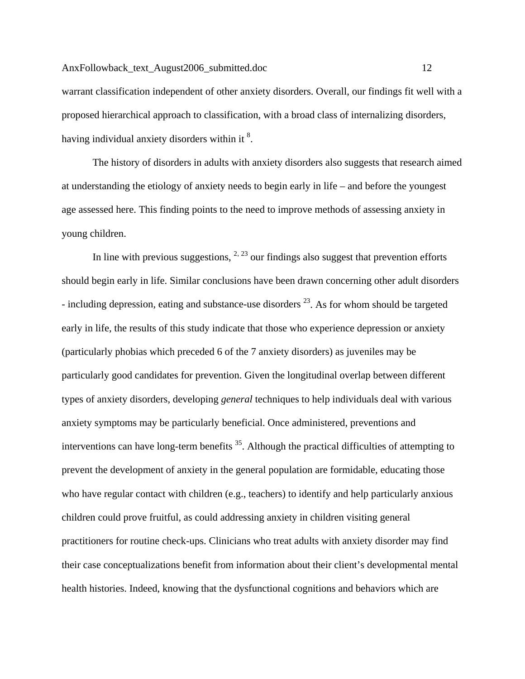warrant classification independent of other anxiety disorders. Overall, our findings fit well with a proposed hierarchical approach to classification, with a broad class of internalizing disorders, having individual anxiety disorders within it  $8$ .

 The history of disorders in adults with anxiety disorders also suggests that research aimed at understanding the etiology of anxiety needs to begin early in life – and before the youngest age assessed here. This finding points to the need to improve methods of assessing anxiety in young children.

In line with previous suggestions,  $^{2, 23}$  our findings also suggest that prevention efforts should begin early in life. Similar conclusions have been drawn concerning other adult disorders - including depression, eating and substance-use disorders  $^{23}$ . As for whom should be targeted early in life, the results of this study indicate that those who experience depression or anxiety (particularly phobias which preceded 6 of the 7 anxiety disorders) as juveniles may be particularly good candidates for prevention. Given the longitudinal overlap between different types of anxiety disorders, developing *general* techniques to help individuals deal with various anxiety symptoms may be particularly beneficial. Once administered, preventions and interventions can have long-term benefits  $35$ . Although the practical difficulties of attempting to prevent the development of anxiety in the general population are formidable, educating those who have regular contact with children (e.g., teachers) to identify and help particularly anxious children could prove fruitful, as could addressing anxiety in children visiting general practitioners for routine check-ups. Clinicians who treat adults with anxiety disorder may find their case conceptualizations benefit from information about their client's developmental mental health histories. Indeed, knowing that the dysfunctional cognitions and behaviors which are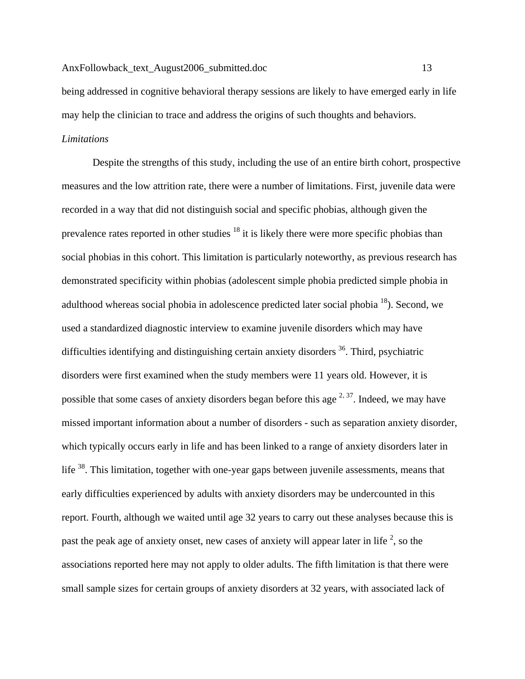being addressed in cognitive behavioral therapy sessions are likely to have emerged early in life may help the clinician to trace and address the origins of such thoughts and behaviors.

# *Limitations*

 Despite the strengths of this study, including the use of an entire birth cohort, prospective measures and the low attrition rate, there were a number of limitations. First, juvenile data were recorded in a way that did not distinguish social and specific phobias, although given the prevalence rates reported in other studies  $18$  it is likely there were more specific phobias than social phobias in this cohort. This limitation is particularly noteworthy, as previous research has demonstrated specificity within phobias (adolescent simple phobia predicted simple phobia in adulthood whereas social phobia in adolescence predicted later social phobia  $^{18}$ ). Second, we used a standardized diagnostic interview to examine juvenile disorders which may have difficulties identifying and distinguishing certain anxiety disorders  $36$ . Third, psychiatric disorders were first examined when the study members were 11 years old. However, it is possible that some cases of anxiety disorders began before this age  $2, 37$ . Indeed, we may have missed important information about a number of disorders - such as separation anxiety disorder, which typically occurs early in life and has been linked to a range of anxiety disorders later in life <sup>38</sup>. This limitation, together with one-year gaps between juvenile assessments, means that early difficulties experienced by adults with anxiety disorders may be undercounted in this report. Fourth, although we waited until age 32 years to carry out these analyses because this is past the peak age of anxiety onset, new cases of anxiety will appear later in life  $2$ , so the associations reported here may not apply to older adults. The fifth limitation is that there were small sample sizes for certain groups of anxiety disorders at 32 years, with associated lack of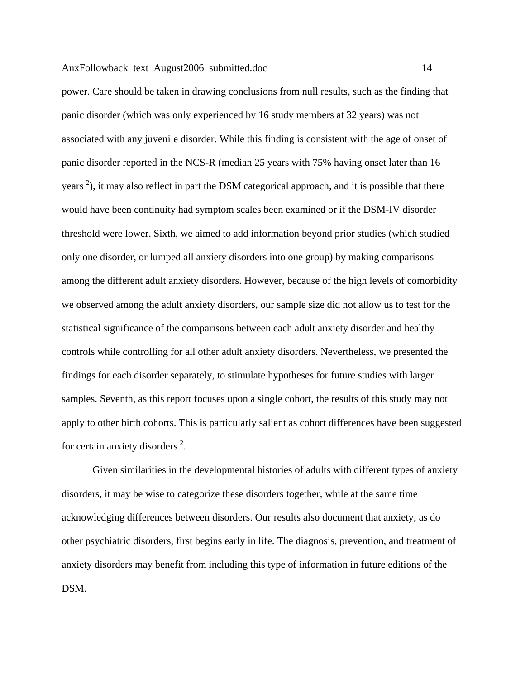power. Care should be taken in drawing conclusions from null results, such as the finding that panic disorder (which was only experienced by 16 study members at 32 years) was not associated with any juvenile disorder. While this finding is consistent with the age of onset of panic disorder reported in the NCS-R (median 25 years with 75% having onset later than 16 years  $^2$ ), it may also reflect in part the DSM categorical approach, and it is possible that there would have been continuity had symptom scales been examined or if the DSM-IV disorder threshold were lower. Sixth, we aimed to add information beyond prior studies (which studied only one disorder, or lumped all anxiety disorders into one group) by making comparisons among the different adult anxiety disorders. However, because of the high levels of comorbidity we observed among the adult anxiety disorders, our sample size did not allow us to test for the statistical significance of the comparisons between each adult anxiety disorder and healthy controls while controlling for all other adult anxiety disorders. Nevertheless, we presented the findings for each disorder separately, to stimulate hypotheses for future studies with larger samples. Seventh, as this report focuses upon a single cohort, the results of this study may not apply to other birth cohorts. This is particularly salient as cohort differences have been suggested for certain anxiety disorders  $2$ .

Given similarities in the developmental histories of adults with different types of anxiety disorders, it may be wise to categorize these disorders together, while at the same time acknowledging differences between disorders. Our results also document that anxiety, as do other psychiatric disorders, first begins early in life. The diagnosis, prevention, and treatment of anxiety disorders may benefit from including this type of information in future editions of the DSM.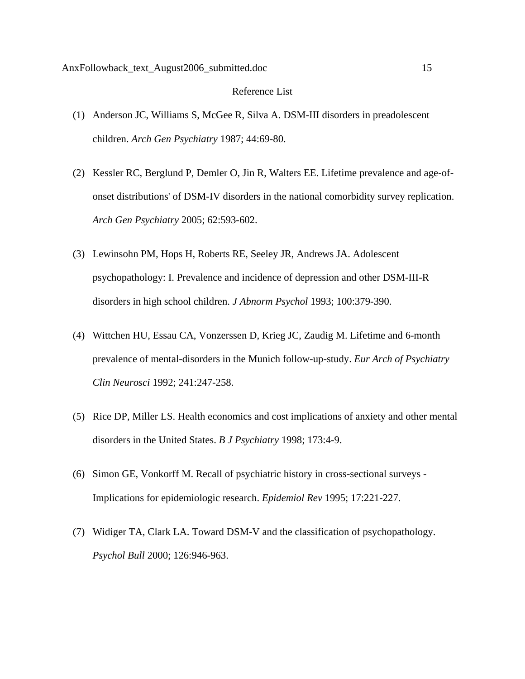#### Reference List

- (1) Anderson JC, Williams S, McGee R, Silva A. DSM-III disorders in preadolescent children. *Arch Gen Psychiatry* 1987; 44:69-80.
- (2) Kessler RC, Berglund P, Demler O, Jin R, Walters EE. Lifetime prevalence and age-ofonset distributions' of DSM-IV disorders in the national comorbidity survey replication. *Arch Gen Psychiatry* 2005; 62:593-602.
- (3) Lewinsohn PM, Hops H, Roberts RE, Seeley JR, Andrews JA. Adolescent psychopathology: I. Prevalence and incidence of depression and other DSM-III-R disorders in high school children. *J Abnorm Psychol* 1993; 100:379-390.
- (4) Wittchen HU, Essau CA, Vonzerssen D, Krieg JC, Zaudig M. Lifetime and 6-month prevalence of mental-disorders in the Munich follow-up-study. *Eur Arch of Psychiatry Clin Neurosci* 1992; 241:247-258.
- (5) Rice DP, Miller LS. Health economics and cost implications of anxiety and other mental disorders in the United States. *B J Psychiatry* 1998; 173:4-9.
- (6) Simon GE, Vonkorff M. Recall of psychiatric history in cross-sectional surveys Implications for epidemiologic research. *Epidemiol Rev* 1995; 17:221-227.
- (7) Widiger TA, Clark LA. Toward DSM-V and the classification of psychopathology. *Psychol Bull* 2000; 126:946-963.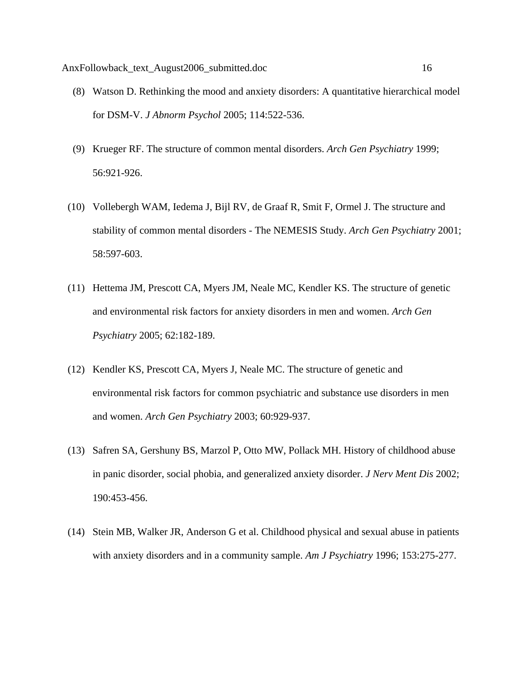- (8) Watson D. Rethinking the mood and anxiety disorders: A quantitative hierarchical model for DSM-V. *J Abnorm Psychol* 2005; 114:522-536.
- (9) Krueger RF. The structure of common mental disorders. *Arch Gen Psychiatry* 1999; 56:921-926.
- (10) Vollebergh WAM, Iedema J, Bijl RV, de Graaf R, Smit F, Ormel J. The structure and stability of common mental disorders - The NEMESIS Study. *Arch Gen Psychiatry* 2001; 58:597-603.
- (11) Hettema JM, Prescott CA, Myers JM, Neale MC, Kendler KS. The structure of genetic and environmental risk factors for anxiety disorders in men and women. *Arch Gen Psychiatry* 2005; 62:182-189.
- (12) Kendler KS, Prescott CA, Myers J, Neale MC. The structure of genetic and environmental risk factors for common psychiatric and substance use disorders in men and women. *Arch Gen Psychiatry* 2003; 60:929-937.
- (13) Safren SA, Gershuny BS, Marzol P, Otto MW, Pollack MH. History of childhood abuse in panic disorder, social phobia, and generalized anxiety disorder. *J Nerv Ment Dis* 2002; 190:453-456.
- (14) Stein MB, Walker JR, Anderson G et al. Childhood physical and sexual abuse in patients with anxiety disorders and in a community sample. *Am J Psychiatry* 1996; 153:275-277.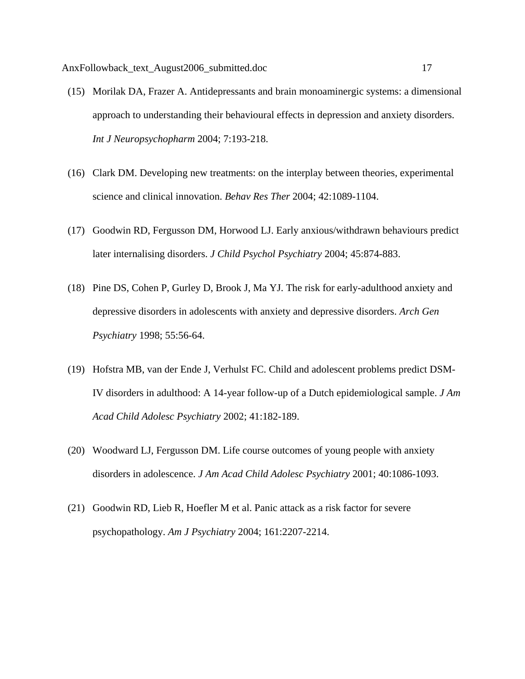- (15) Morilak DA, Frazer A. Antidepressants and brain monoaminergic systems: a dimensional approach to understanding their behavioural effects in depression and anxiety disorders. *Int J Neuropsychopharm* 2004; 7:193-218.
- (16) Clark DM. Developing new treatments: on the interplay between theories, experimental science and clinical innovation. *Behav Res Ther* 2004; 42:1089-1104.
- (17) Goodwin RD, Fergusson DM, Horwood LJ. Early anxious/withdrawn behaviours predict later internalising disorders. *J Child Psychol Psychiatry* 2004; 45:874-883.
- (18) Pine DS, Cohen P, Gurley D, Brook J, Ma YJ. The risk for early-adulthood anxiety and depressive disorders in adolescents with anxiety and depressive disorders. *Arch Gen Psychiatry* 1998; 55:56-64.
- (19) Hofstra MB, van der Ende J, Verhulst FC. Child and adolescent problems predict DSM-IV disorders in adulthood: A 14-year follow-up of a Dutch epidemiological sample. *J Am Acad Child Adolesc Psychiatry* 2002; 41:182-189.
- (20) Woodward LJ, Fergusson DM. Life course outcomes of young people with anxiety disorders in adolescence. *J Am Acad Child Adolesc Psychiatry* 2001; 40:1086-1093.
- (21) Goodwin RD, Lieb R, Hoefler M et al. Panic attack as a risk factor for severe psychopathology. *Am J Psychiatry* 2004; 161:2207-2214.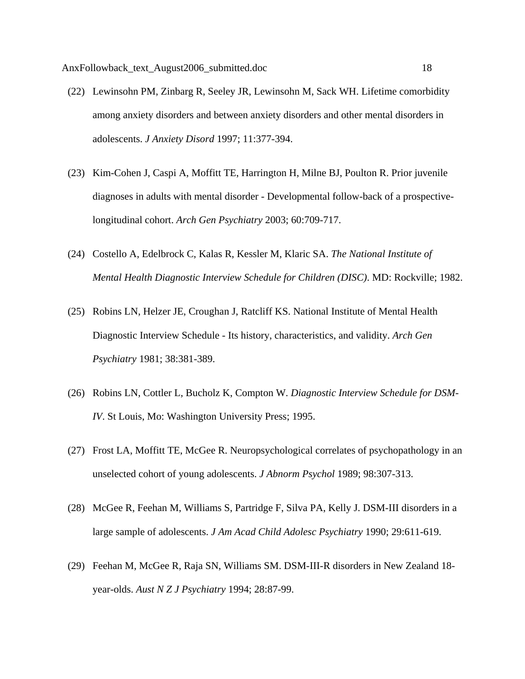- (22) Lewinsohn PM, Zinbarg R, Seeley JR, Lewinsohn M, Sack WH. Lifetime comorbidity among anxiety disorders and between anxiety disorders and other mental disorders in adolescents. *J Anxiety Disord* 1997; 11:377-394.
- (23) Kim-Cohen J, Caspi A, Moffitt TE, Harrington H, Milne BJ, Poulton R. Prior juvenile diagnoses in adults with mental disorder - Developmental follow-back of a prospectivelongitudinal cohort. *Arch Gen Psychiatry* 2003; 60:709-717.
- (24) Costello A, Edelbrock C, Kalas R, Kessler M, Klaric SA. *The National Institute of Mental Health Diagnostic Interview Schedule for Children (DISC)*. MD: Rockville; 1982.
- (25) Robins LN, Helzer JE, Croughan J, Ratcliff KS. National Institute of Mental Health Diagnostic Interview Schedule - Its history, characteristics, and validity. *Arch Gen Psychiatry* 1981; 38:381-389.
- (26) Robins LN, Cottler L, Bucholz K, Compton W. *Diagnostic Interview Schedule for DSM-IV*. St Louis, Mo: Washington University Press; 1995.
- (27) Frost LA, Moffitt TE, McGee R. Neuropsychological correlates of psychopathology in an unselected cohort of young adolescents. *J Abnorm Psychol* 1989; 98:307-313.
- (28) McGee R, Feehan M, Williams S, Partridge F, Silva PA, Kelly J. DSM-III disorders in a large sample of adolescents. *J Am Acad Child Adolesc Psychiatry* 1990; 29:611-619.
- (29) Feehan M, McGee R, Raja SN, Williams SM. DSM-III-R disorders in New Zealand 18 year-olds. *Aust N Z J Psychiatry* 1994; 28:87-99.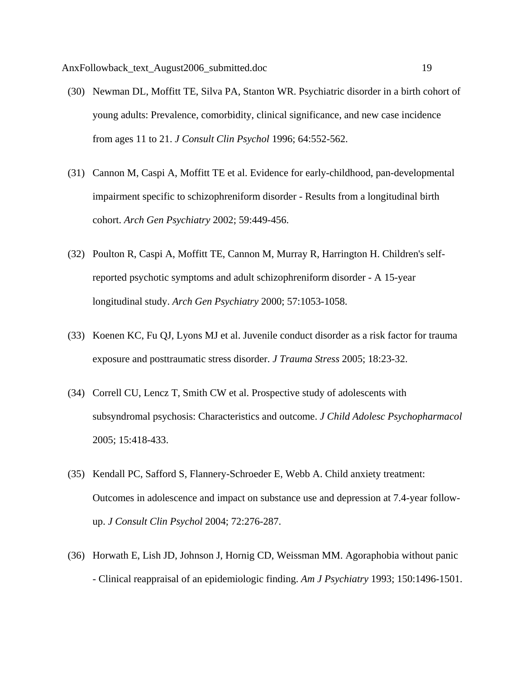- (30) Newman DL, Moffitt TE, Silva PA, Stanton WR. Psychiatric disorder in a birth cohort of young adults: Prevalence, comorbidity, clinical significance, and new case incidence from ages 11 to 21. *J Consult Clin Psychol* 1996; 64:552-562.
- (31) Cannon M, Caspi A, Moffitt TE et al. Evidence for early-childhood, pan-developmental impairment specific to schizophreniform disorder - Results from a longitudinal birth cohort. *Arch Gen Psychiatry* 2002; 59:449-456.
- (32) Poulton R, Caspi A, Moffitt TE, Cannon M, Murray R, Harrington H. Children's selfreported psychotic symptoms and adult schizophreniform disorder - A 15-year longitudinal study. *Arch Gen Psychiatry* 2000; 57:1053-1058.
- (33) Koenen KC, Fu QJ, Lyons MJ et al. Juvenile conduct disorder as a risk factor for trauma exposure and posttraumatic stress disorder. *J Trauma Stress* 2005; 18:23-32.
- (34) Correll CU, Lencz T, Smith CW et al. Prospective study of adolescents with subsyndromal psychosis: Characteristics and outcome. *J Child Adolesc Psychopharmacol* 2005; 15:418-433.
- (35) Kendall PC, Safford S, Flannery-Schroeder E, Webb A. Child anxiety treatment: Outcomes in adolescence and impact on substance use and depression at 7.4-year followup. *J Consult Clin Psychol* 2004; 72:276-287.
- (36) Horwath E, Lish JD, Johnson J, Hornig CD, Weissman MM. Agoraphobia without panic - Clinical reappraisal of an epidemiologic finding. *Am J Psychiatry* 1993; 150:1496-1501.